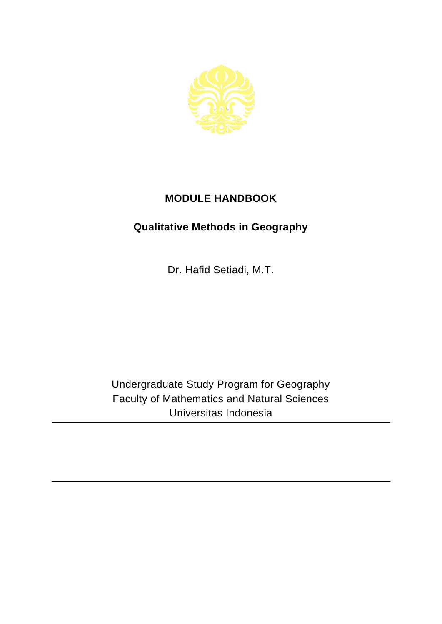

## **MODULE HANDBOOK**

## **Qualitative Methods in Geography**

Dr. Hafid Setiadi, M.T.

Undergraduate Study Program for Geography Faculty of Mathematics and Natural Sciences Universitas Indonesia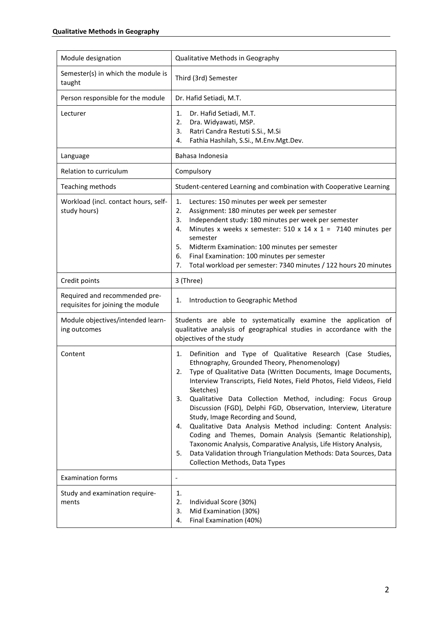| Module designation                                                 | Qualitative Methods in Geography                                                                                                                                                                                                                                                                                                                                                                                                                                                                                                                                                                                                                                                                                                                                                         |
|--------------------------------------------------------------------|------------------------------------------------------------------------------------------------------------------------------------------------------------------------------------------------------------------------------------------------------------------------------------------------------------------------------------------------------------------------------------------------------------------------------------------------------------------------------------------------------------------------------------------------------------------------------------------------------------------------------------------------------------------------------------------------------------------------------------------------------------------------------------------|
| Semester(s) in which the module is<br>taught                       | Third (3rd) Semester                                                                                                                                                                                                                                                                                                                                                                                                                                                                                                                                                                                                                                                                                                                                                                     |
| Person responsible for the module                                  | Dr. Hafid Setiadi, M.T.                                                                                                                                                                                                                                                                                                                                                                                                                                                                                                                                                                                                                                                                                                                                                                  |
| Lecturer                                                           | Dr. Hafid Setiadi, M.T.<br>1.<br>Dra. Widyawati, MSP.<br>2.<br>Ratri Candra Restuti S.Si., M.Si<br>3.<br>Fathia Hashilah, S.Si., M.Env.Mgt.Dev.<br>4.                                                                                                                                                                                                                                                                                                                                                                                                                                                                                                                                                                                                                                    |
| Language                                                           | Bahasa Indonesia                                                                                                                                                                                                                                                                                                                                                                                                                                                                                                                                                                                                                                                                                                                                                                         |
| Relation to curriculum                                             | Compulsory                                                                                                                                                                                                                                                                                                                                                                                                                                                                                                                                                                                                                                                                                                                                                                               |
| Teaching methods                                                   | Student-centered Learning and combination with Cooperative Learning                                                                                                                                                                                                                                                                                                                                                                                                                                                                                                                                                                                                                                                                                                                      |
| Workload (incl. contact hours, self-<br>study hours)               | Lectures: 150 minutes per week per semester<br>1.<br>2.<br>Assignment: 180 minutes per week per semester<br>Independent study: 180 minutes per week per semester<br>3.<br>Minutes x weeks x semester: 510 x 14 x 1 = 7140 minutes per<br>4.<br>semester<br>Midterm Examination: 100 minutes per semester<br>5.<br>Final Examination: 100 minutes per semester<br>6.<br>Total workload per semester: 7340 minutes / 122 hours 20 minutes<br>7.                                                                                                                                                                                                                                                                                                                                            |
| Credit points                                                      | 3 (Three)                                                                                                                                                                                                                                                                                                                                                                                                                                                                                                                                                                                                                                                                                                                                                                                |
| Required and recommended pre-<br>requisites for joining the module | Introduction to Geographic Method<br>1.                                                                                                                                                                                                                                                                                                                                                                                                                                                                                                                                                                                                                                                                                                                                                  |
| Module objectives/intended learn-<br>ing outcomes                  | Students are able to systematically examine the application of<br>qualitative analysis of geographical studies in accordance with the<br>objectives of the study                                                                                                                                                                                                                                                                                                                                                                                                                                                                                                                                                                                                                         |
| Content                                                            | Definition and Type of Qualitative Research (Case Studies,<br>1.<br>Ethnography, Grounded Theory, Phenomenology)<br>Type of Qualitative Data (Written Documents, Image Documents,<br>2.<br>Interview Transcripts, Field Notes, Field Photos, Field Videos, Field<br>Sketches)<br>Qualitative Data Collection Method, including: Focus Group<br>3.<br>Discussion (FGD), Delphi FGD, Observation, Interview, Literature<br>Study, Image Recording and Sound,<br>Qualitative Data Analysis Method including: Content Analysis:<br>4.<br>Coding and Themes, Domain Analysis (Semantic Relationship),<br>Taxonomic Analysis, Comparative Analysis, Life History Analysis,<br>Data Validation through Triangulation Methods: Data Sources, Data<br>5.<br><b>Collection Methods, Data Types</b> |
| <b>Examination forms</b>                                           | $\overline{\phantom{a}}$                                                                                                                                                                                                                                                                                                                                                                                                                                                                                                                                                                                                                                                                                                                                                                 |
| Study and examination require-<br>ments                            | 1.<br>2.<br>Individual Score (30%)<br>Mid Examination (30%)<br>3.<br>Final Examination (40%)<br>4.                                                                                                                                                                                                                                                                                                                                                                                                                                                                                                                                                                                                                                                                                       |